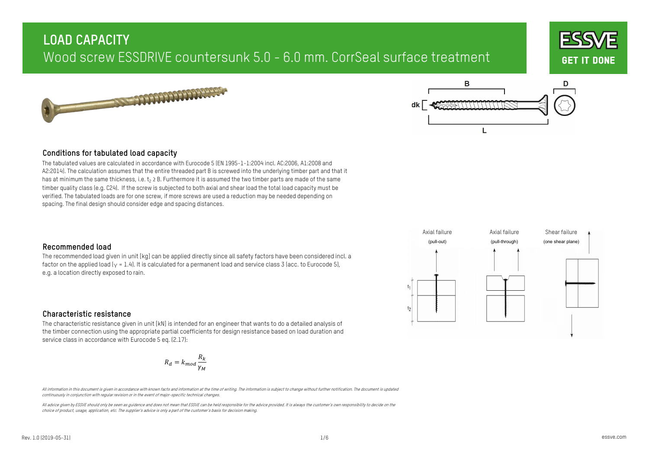





### **Conditions for tabulated load capacity**

The tabulated values are calculated in accordance with Eurocode 5 (EN 1995-1-1:2004 incl. AC:2006, A1:2008 and A2:2014). The calculation assumes that the entire threaded part B is screwed into the underlying timber part and that it has at minimum the same thickness, i.e.  $t_2 \geq B$ . Furthermore it is assumed the two timber parts are made of the same timber quality class (e.g. C24). If the screw is subjected to both axial and shear load the total load capacity must be verified. The tabulated loads are for one screw, if more screws are used a reduction may be needed depending on spacing. The final design should consider edge and spacing distances.

### **Recommended load**

The recommended load given in unit [kg] can be applied directly since all safety factors have been considered incl. a factor on the applied load  $(y = 1.4)$ . It is calculated for a permanent load and service class 3 (acc. to Eurocode 5), e.g. a location directly exposed to rain.



### **Characteristic resistance**

The characteristic resistance given in unit [kN] is intended for an engineer that wants to do a detailed analysis of the timber connection using the appropriate partial coefficients for design resistance based on load duration and service class in accordance with Eurocode 5 eq. (2.17):

$$
R_d = k_{mod} \frac{R_k}{\gamma_M}
$$

All information in this document is given in accordance with known facts and information at the time of writing. The information is subject to change without further notification. The document is updated continuously in conjunction with regular revision or in the event of major-specific technical changes.

All advice given by ESSVE should only be seen as quidence and does not mean that ESSVE can be held responsibile for the advice provided. It is always the customer's own responsibility to decide on the choice of product, usage, application, etc. The supplier's advice is only a part of the customer's basis for decision making.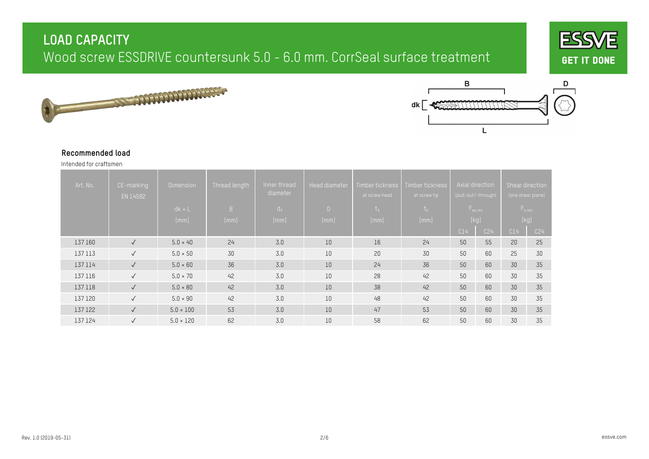





#### **Recommended load**

Intended for craftsmen

| Art. No. | CE-marking<br>EN 14592 | <b>Dimension</b><br>$dk \times L$ | Thread length<br>B | Inner thread<br>diameter<br>$d_1$ | <b>Head diameter</b><br>$\Box$ | Timber tickness<br>at screw head<br>$t_1$ | Timber tickness<br>at screw tip<br>$t_{2}$ |     | Axial direction,<br>(pull-out/-through)<br>$F_{ax,rec}$ | Shear direction | (one shear plane)<br>$F_{v,rec}$ |
|----------|------------------------|-----------------------------------|--------------------|-----------------------------------|--------------------------------|-------------------------------------------|--------------------------------------------|-----|---------------------------------------------------------|-----------------|----------------------------------|
|          |                        | [mm]                              | [mm]               | [mm]                              | [mm]                           | [mm]                                      | [mm]                                       |     | [kg]                                                    | [kg]            |                                  |
|          |                        |                                   |                    |                                   |                                |                                           |                                            | C14 | C24                                                     | C14             | C <sub>24</sub>                  |
| 137 160  | $\checkmark$           | $5.0 \times 40$                   | 24                 | 3.0                               | 10                             | 16                                        | 24                                         | 50  | 55                                                      | 20              | 25                               |
| 137 113  | $\checkmark$           | 5.0 × 50                          | 30                 | 3.0                               | 10                             | 20                                        | 30                                         | 50  | 60                                                      | 25              | 30                               |
| 137 114  | $\checkmark$           | $5.0 \times 60$                   | 36                 | 3.0                               | 10                             | 24                                        | 36                                         | 50  | 60                                                      | 30              | 35                               |
| 137 116  | $\checkmark$           | $5.0 \times 70$                   | 42                 | 3.0                               | 10                             | 28                                        | 42                                         | 50  | 60                                                      | 30              | 35                               |
| 137 118  | $\sqrt{ }$             | $5.0 \times 80$                   | 42                 | 3.0                               | 10                             | 38                                        | 42                                         | 50  | 60                                                      | 30              | 35                               |
| 137 120  | $\checkmark$           | $5.0 \times 90$                   | 42                 | 3.0                               | 10                             | 48                                        | 42                                         | 50  | 60                                                      | 30              | 35                               |
| 137 122  | $\checkmark$           | $5.0 \times 100$                  | 53                 | 3.0                               | 10                             | 47                                        | 53                                         | 50  | 60                                                      | 30              | 35                               |
| 137 124  | $\sqrt{ }$             | $5.0 \times 120$                  | 62                 | 3.0                               | 10                             | 58                                        | 62                                         | 50  | 60                                                      | 30              | 35                               |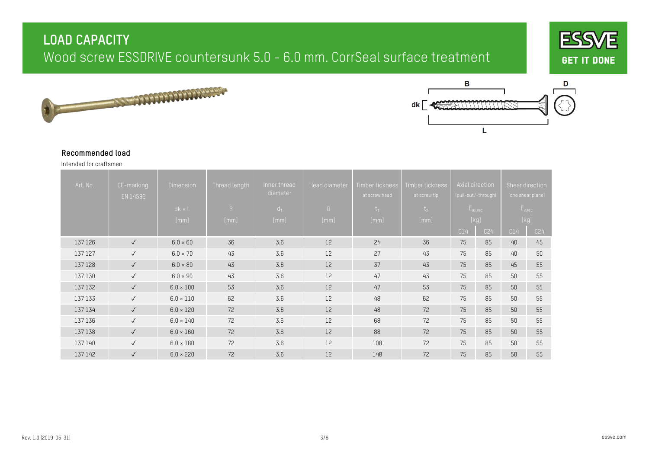





#### **Recommended load**

Intended for craftsmen

| Art. No. | CE-marking<br>EN 14592 | <b>Dimension</b><br>$dk \times L$<br>[mm] | Thread length<br>B<br>[mm] | Inner thread<br>diameter<br>d <sub>1</sub><br>[mm] | <b>Head diameter</b><br>$\Box$<br>[mm] | Timber tickness<br>at screw head<br>$t_{1}$<br>[mm] | Timber tickness<br>at screw tip<br>t <sub>2</sub><br>[mm] |     | Axial direction<br>(pull-out/-through)<br>$F_{ax,rec}$<br>[kg] |     | Shear direction<br>(one shear plane)<br>$F_{v,rec}$<br>$[kg] % \begin{center} % \includegraphics[width=\textwidth]{images/TransY.pdf} \end{center} % \vspace*{-1em} \caption{The figure shows the results of the estimators in the image.} \label{fig:class} %$ |
|----------|------------------------|-------------------------------------------|----------------------------|----------------------------------------------------|----------------------------------------|-----------------------------------------------------|-----------------------------------------------------------|-----|----------------------------------------------------------------|-----|-----------------------------------------------------------------------------------------------------------------------------------------------------------------------------------------------------------------------------------------------------------------|
|          |                        |                                           |                            |                                                    |                                        |                                                     |                                                           | C14 | C24                                                            | C14 | C24                                                                                                                                                                                                                                                             |
| 137 126  | $\sqrt{ }$             | $6.0 \times 60$                           | 36                         | 3.6                                                | 12                                     | 24                                                  | 36                                                        | 75  | 85                                                             | 40  | 45                                                                                                                                                                                                                                                              |
| 137 127  | $\checkmark$           | $6.0 \times 70$                           | 43                         | 3.6                                                | 12                                     | 27                                                  | 43                                                        | 75  | 85                                                             | 40  | 50                                                                                                                                                                                                                                                              |
| 137 128  | $\sqrt{ }$             | $6.0 \times 80$                           | 43                         | 3.6                                                | 12                                     | 37                                                  | 43                                                        | 75  | 85                                                             | 45  | 55                                                                                                                                                                                                                                                              |
| 137 130  | $\checkmark$           | $6.0 \times 90$                           | 43                         | 3.6                                                | 12                                     | 47                                                  | 43                                                        | 75  | 85                                                             | 50  | 55                                                                                                                                                                                                                                                              |
| 137 132  | $\checkmark$           | $6.0 \times 100$                          | 53                         | 3.6                                                | 12                                     | 47                                                  | 53                                                        | 75  | 85                                                             | 50  | 55                                                                                                                                                                                                                                                              |
| 137 133  | $\sqrt{ }$             | $6.0 \times 110$                          | 62                         | 3.6                                                | 12                                     | 48                                                  | 62                                                        | 75  | 85                                                             | 50  | 55                                                                                                                                                                                                                                                              |
| 137 134  | $\checkmark$           | $6.0 \times 120$                          | 72                         | 3.6                                                | 12                                     | 48                                                  | 72                                                        | 75  | 85                                                             | 50  | 55                                                                                                                                                                                                                                                              |
| 137 136  | $\checkmark$           | $6.0 \times 140$                          | 72                         | 3.6                                                | 12                                     | 68                                                  | 72                                                        | 75  | 85                                                             | 50  | 55                                                                                                                                                                                                                                                              |
| 137 138  | $\checkmark$           | $6.0 \times 160$                          | 72                         | 3.6                                                | 12                                     | 88                                                  | 72                                                        | 75  | 85                                                             | 50  | 55                                                                                                                                                                                                                                                              |
| 137 140  | $\checkmark$           | $6.0 \times 180$                          | 72                         | 3.6                                                | 12                                     | 108                                                 | 72                                                        | 75  | 85                                                             | 50  | 55                                                                                                                                                                                                                                                              |
| 137 142  | $\checkmark$           | $6.0 \times 220$                          | 72                         | 3.6                                                | 12                                     | 148                                                 | 72                                                        | 75  | 85                                                             | 50  | 55                                                                                                                                                                                                                                                              |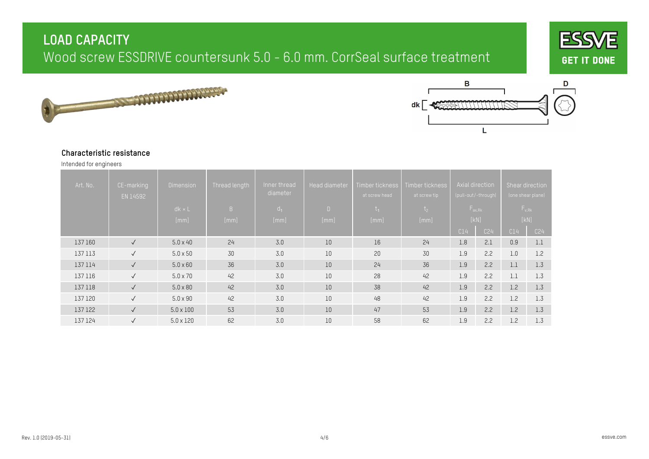





#### **Characteristic resistance**

Intended for engineers

| Art. No. | CE-marking<br>EN 14592 | <b>Dimension</b><br>$dk \times L$<br>[mm] | Thread length<br>B<br>[mm] | Inner thread<br>diameter<br>$d_1$<br>[mm] | <b>Head diameter</b><br>$\Box$<br>[mm] | Timber tickness<br>at screw head<br>$t_1$<br>[mm] | Timber tickness<br>at screw tip<br>t <sub>2</sub><br>[mm] |     | Axial direction<br>(pull-out/-through)<br>$F_{ax, Rk}$<br>[kN] | Shear direction | (one shear plane)<br>$F_{v, Rk}$<br>[KN] |
|----------|------------------------|-------------------------------------------|----------------------------|-------------------------------------------|----------------------------------------|---------------------------------------------------|-----------------------------------------------------------|-----|----------------------------------------------------------------|-----------------|------------------------------------------|
|          |                        |                                           |                            |                                           |                                        |                                                   |                                                           | C14 | C24                                                            | C14             | C <sub>24</sub>                          |
| 137 160  | $\checkmark$           | $5.0 \times 40$                           | 24                         | 3.0                                       | 10                                     | 16                                                | 24                                                        | 1.8 | 2.1                                                            | 0.9             | 1.1                                      |
| 137 113  | $\sqrt{ }$             | $5.0 \times 50$                           | 30                         | 3.0                                       | 10                                     | 20                                                | 30                                                        | 1.9 | 2.2                                                            | 1.0             | 1.2                                      |
| 137 114  | $\checkmark$           | $5.0 \times 60$                           | 36                         | 3.0                                       | 10                                     | 24                                                | 36                                                        | 1.9 | 2.2                                                            | 1.1             | 1.3                                      |
| 137 116  | $\checkmark$           | $5.0 \times 70$                           | 42                         | 3.0                                       | 10                                     | 28                                                | 42                                                        | 1.9 | 2.2                                                            | 1.1             | 1.3                                      |
| 137 118  | $\sqrt{ }$             | $5.0 \times 80$                           | 42                         | 3.0                                       | 10                                     | 38                                                | 42                                                        | 1.9 | 2.2                                                            | 1.2             | 1.3                                      |
| 137 120  | $\checkmark$           | $5.0 \times 90$                           | 42                         | 3.0                                       | 10                                     | 48                                                | 42                                                        | 1.9 | 2.2                                                            | 1.2             | 1.3                                      |
| 137 122  | $\checkmark$           | $5.0 \times 100$                          | 53                         | 3.0                                       | 10                                     | 47                                                | 53                                                        | 1.9 | 2.2                                                            | 1.2             | 1.3                                      |
| 137 124  | $\sqrt{ }$             | $5.0 \times 120$                          | 62                         | 3.0                                       | 10                                     | 58                                                | 62                                                        | 1.9 | 2.2                                                            | 1.2             | 1.3                                      |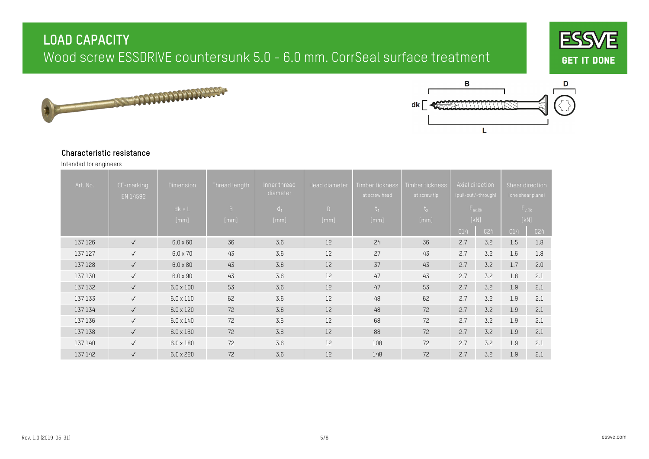





#### **Characteristic resistance**

Intended for engineers

| Art. No. | CE-marking<br>EN 14592 | <b>Dimension</b><br>$dk \times L$ | Thread length<br>B | Inner thread<br>diameter<br>$d_1$ | Head diameter<br>$\Box$ | Timber tickness<br>at screw head<br>$t_1$ | Timber tickness<br>at screw tip<br>t <sub>2</sub> |     | Axial direction<br>(pull-out/-through)<br>$F_{ax, Rk}$ | Shear direction | (one shear plane)<br>$F_{v, Rk}$ |
|----------|------------------------|-----------------------------------|--------------------|-----------------------------------|-------------------------|-------------------------------------------|---------------------------------------------------|-----|--------------------------------------------------------|-----------------|----------------------------------|
|          |                        | [mm]                              | [mm]               | [mm]                              | [mm]                    | [mm]                                      | [mm]                                              | C14 | [kN]<br>C24                                            | C14             | [KN]<br>C24                      |
| 137 126  | $\checkmark$           | $6.0 \times 60$                   | 36                 | 3.6                               | 12                      | 24                                        | 36                                                | 2.7 | 3.2                                                    | 1.5             | 1.8                              |
| 137 127  | $\checkmark$           | $6.0 \times 70$                   | 43                 | 3.6                               | 12                      | 27                                        | 43                                                | 2.7 | 3.2                                                    | 1.6             | 1.8                              |
| 137 128  | $\checkmark$           | $6.0 \times 80$                   | 43                 | 3.6                               | 12                      | 37                                        | 43                                                | 2.7 | 3.2                                                    | 1.7             | 2.0                              |
| 137 130  | $\checkmark$           | $6.0 \times 90$                   | 43                 | 3.6                               | 12                      | 47                                        | 43                                                | 2.7 | 3.2                                                    | 1.8             | 2.1                              |
| 137 132  | $\checkmark$           | $6.0 \times 100$                  | 53                 | 3.6                               | 12                      | 47                                        | 53                                                | 2.7 | 3.2                                                    | 1.9             | 2.1                              |
| 137 133  | $\checkmark$           | $6.0 \times 110$                  | 62                 | 3.6                               | 12                      | 48                                        | 62                                                | 2.7 | 3.2                                                    | 1.9             | 2.1                              |
| 137 134  | $\checkmark$           | $6.0 \times 120$                  | 72                 | 3.6                               | 12                      | 48                                        | 72                                                | 2.7 | 3.2                                                    | 1.9             | 2.1                              |
| 137 136  | $\checkmark$           | $6.0 \times 140$                  | 72                 | 3.6                               | 12                      | 68                                        | 72                                                | 2.7 | 3.2                                                    | 1.9             | 2.1                              |
| 137 138  | $\sqrt{ }$             | $6.0 \times 160$                  | 72                 | 3.6                               | 12                      | 88                                        | 72                                                | 2.7 | 3.2                                                    | 1.9             | 2.1                              |
| 137 140  | $\checkmark$           | $6.0 \times 180$                  | 72                 | 3.6                               | 12                      | 108                                       | 72                                                | 2.7 | 3.2                                                    | 1.9             | 2.1                              |
| 137 142  | $\checkmark$           | $6.0 \times 220$                  | 72                 | 3.6                               | 12                      | 148                                       | 72                                                | 2.7 | 3.2                                                    | 1.9             | 2.1                              |